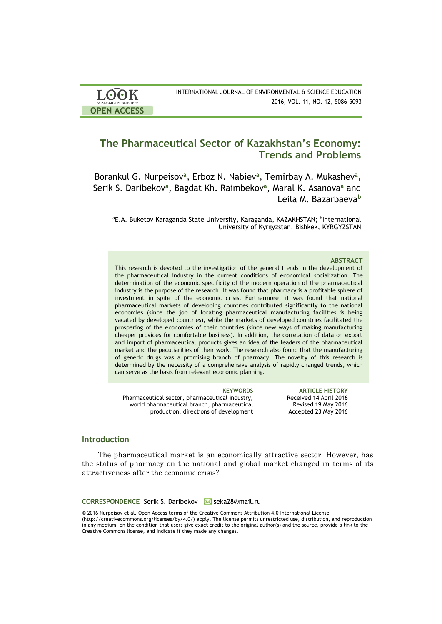| <b>LOOK</b>                | INTERNATIONAL JOURNAL OF ENVIRONMENTAL & SCIENCE EDUCATION |
|----------------------------|------------------------------------------------------------|
| <b>ACADEMIC PUBLISHERS</b> | 2016, VOL. 11, NO. 12, 5086-5093                           |
| <b>OPEN ACCESS</b>         |                                                            |

# **The Pharmaceutical Sector of Kazakhstan's Economy: Trends and Problems**

Borankul G. Nurpeisov**<sup>a</sup>** , Erboz N. Nabiev**<sup>a</sup>** , Temirbay A. Mukashev**<sup>a</sup>** , Serik S. Daribekov**<sup>a</sup>** , Bagdat Kh. Raimbekov**<sup>a</sup>** , Maral K. Asanova**<sup>a</sup>** and Leila M. Bazarbaeva**<sup>b</sup>**

<sup>a</sup>E.A. Buketov Karaganda State University, Karaganda, KAZAKHSTAN; <sup>b</sup>International University of Kyrgyzstan, Bishkek, KYRGYZSTAN

#### **ABSTRACT**

This research is devoted to the investigation of the general trends in the development of the pharmaceutical industry in the current conditions of economical socialization. The determination of the economic specificity of the modern operation of the pharmaceutical industry is the purpose of the research. It was found that pharmacy is a profitable sphere of investment in spite of the economic crisis. Furthermore, it was found that national pharmaceutical markets of developing countries contributed significantly to the national economies (since the job of locating pharmaceutical manufacturing facilities is being vacated by developed countries), while the markets of developed countries facilitated the prospering of the economies of their countries (since new ways of making manufacturing cheaper provides for comfortable business). In addition, the correlation of data on export and import of pharmaceutical products gives an idea of the leaders of the pharmaceutical market and the peculiarities of their work. The research also found that the manufacturing of generic drugs was a promising branch of pharmacy. The novelty of this research is determined by the necessity of a comprehensive analysis of rapidly changed trends, which can serve as the basis from relevant economic planning.

Pharmaceutical sector, pharmaceutical industry, world pharmaceutical branch, pharmaceutical production, directions of development

**KEYWORDS ARTICLE HISTORY** Received 14 April 2016 Revised 19 May 2016 Accepted 23 May 2016

# **Introduction**

The pharmaceutical market is an economically attractive sector. However, has the status of pharmacy on the national and global market changed in terms of its attractiveness after the economic crisis?

#### **CORRESPONDENCE** Serik S. Daribekov M seka28@mail.ru

© 2016 Nurpeisov et al. Open Access terms of the Creative Commons Attribution 4.0 International License (http://creativecommons.org/licenses/by/4.0/) apply. The license permits unrestricted use, distribution, and reproduction in any medium, on the condition that users give exact credit to the original author(s) and the source, provide a link to the Creative Commons license, and indicate if they made any changes.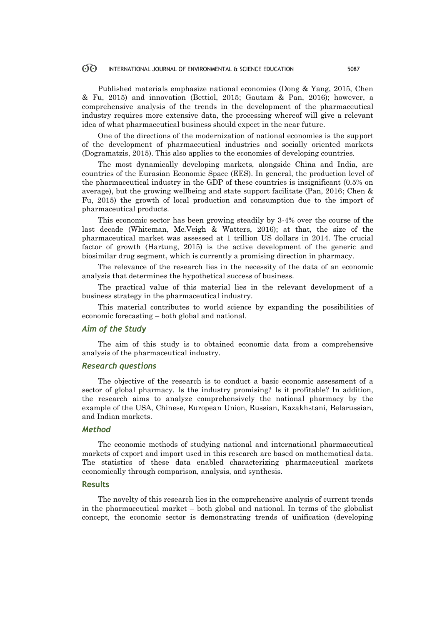#### 60 INTERNATIONAL JOURNAL OF ENVIRONMENTAL & SCIENCE EDUCATION 5087

Published materials emphasize national economies (Dong & Yang, 2015, Chen & Fu, 2015) and innovation (Bettiol, 2015; Gautam & Pan, 2016); however, a comprehensive analysis of the trends in the development of the pharmaceutical industry requires more extensive data, the processing whereof will give a relevant idea of what pharmaceutical business should expect in the near future.

One of the directions of the modernization of national economies is the support of the development of pharmaceutical industries and socially oriented markets (Dogramatzis, 2015). This also applies to the economies of developing countries.

The most dynamically developing markets, alongside China and India, are countries of the Eurasian Economic Space (EES). In general, the production level of the pharmaceutical industry in the GDP of these countries is insignificant (0.5% on average), but the growing wellbeing and state support facilitate (Pan, 2016; Chen & Fu, 2015) the growth of local production and consumption due to the import of pharmaceutical products.

This economic sector has been growing steadily by 3-4% over the course of the last decade (Whiteman, Mc.Veigh & Watters, 2016); at that, the size of the pharmaceutical market was assessed at 1 trillion US dollars in 2014. The crucial factor of growth (Hartung, 2015) is the active development of the generic and biosimilar drug segment, which is currently a promising direction in pharmacy.

The relevance of the research lies in the necessity of the data of an economic analysis that determines the hypothetical success of business.

The practical value of this material lies in the relevant development of a business strategy in the pharmaceutical industry.

This material contributes to world science by expanding the possibilities of economic forecasting – both global and national.

# *Aim of the Study*

The aim of this study is to obtained economic data from a comprehensive analysis of the pharmaceutical industry.

### *Research questions*

The objective of the research is to conduct a basic economic assessment of a sector of global pharmacy. Is the industry promising? Is it profitable? In addition, the research aims to analyze comprehensively the national pharmacy by the example of the USA, Chinese, European Union, Russian, Kazakhstani, Belarussian, and Indian markets.

# *Method*

The economic methods of studying national and international pharmaceutical markets of export and import used in this research are based on mathematical data. The statistics of these data enabled characterizing pharmaceutical markets economically through comparison, analysis, and synthesis.

# **Results**

The novelty of this research lies in the comprehensive analysis of current trends in the pharmaceutical market – both global and national. In terms of the globalist concept, the economic sector is demonstrating trends of unification (developing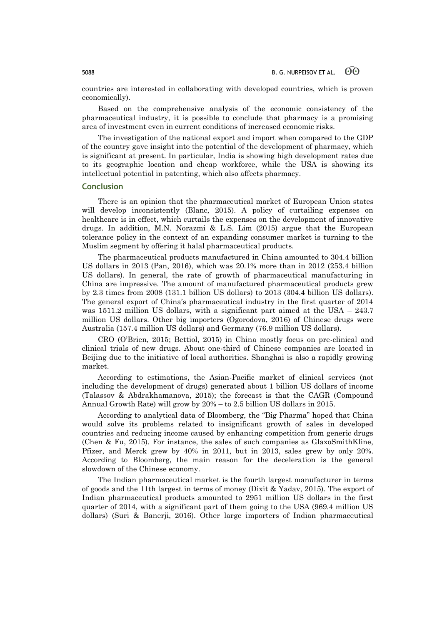countries are interested in collaborating with developed countries, which is proven economically).

Based on the comprehensive analysis of the economic consistency of the pharmaceutical industry, it is possible to conclude that pharmacy is a promising area of investment even in current conditions of increased economic risks.

The investigation of the national export and import when compared to the GDP of the country gave insight into the potential of the development of pharmacy, which is significant at present. In particular, India is showing high development rates due to its geographic location and cheap workforce, while the USA is showing its intellectual potential in patenting, which also affects pharmacy.

### **Conclusion**

There is an opinion that the pharmaceutical market of European Union states will develop inconsistently (Blanc, 2015). A policy of curtailing expenses on healthcare is in effect, which curtails the expenses on the development of innovative drugs. In addition, M.N. Norazmi & L.S. Lim (2015) argue that the European tolerance policy in the context of an expanding consumer market is turning to the Muslim segment by offering it halal pharmaceutical products.

The pharmaceutical products manufactured in China amounted to 304.4 billion US dollars in 2013 (Pan, 2016), which was 20.1% more than in 2012 (253.4 billion US dollars). In general, the rate of growth of pharmaceutical manufacturing in China are impressive. The amount of manufactured pharmaceutical products grew by 2.3 times from 2008 (131.1 billion US dollars) to 2013 (304.4 billion US dollars). The general export of China's pharmaceutical industry in the first quarter of 2014 was 1511.2 million US dollars, with a significant part aimed at the USA – 243.7 million US dollars. Other big importers (Ogorodova, 2016) of Chinese drugs were Australia (157.4 million US dollars) and Germany (76.9 million US dollars).

CRO (O'Brien, 2015; Bettiol, 2015) in China mostly focus on pre-clinical and clinical trials of new drugs. About one-third of Chinese companies are located in Beijing due to the initiative of local authorities. Shanghai is also a rapidly growing market.

According to estimations, the Asian-Pacific market of clinical services (not including the development of drugs) generated about 1 billion US dollars of income (Talassov & Abdrakhamanova, 2015); the forecast is that the CAGR (Compound Annual Growth Rate) will grow by 20% – to 2.5 billion US dollars in 2015.

According to analytical data of Bloomberg, the "Big Pharma" hoped that China would solve its problems related to insignificant growth of sales in developed countries and reducing income caused by enhancing competition from generic drugs (Chen & Fu, 2015). For instance, the sales of such companies as GlaxoSmithKline, Pfizer, and Merck grew by 40% in 2011, but in 2013, sales grew by only 20%. According to Bloomberg, the main reason for the deceleration is the general slowdown of the Chinese economy.

The Indian pharmaceutical market is the fourth largest manufacturer in terms of goods and the 11th largest in terms of money (Dixit & Yadav, 2015). The export of Indian pharmaceutical products amounted to 2951 million US dollars in the first quarter of 2014, with a significant part of them going to the USA (969.4 million US dollars) (Suri & Banerji, 2016). Other large importers of Indian pharmaceutical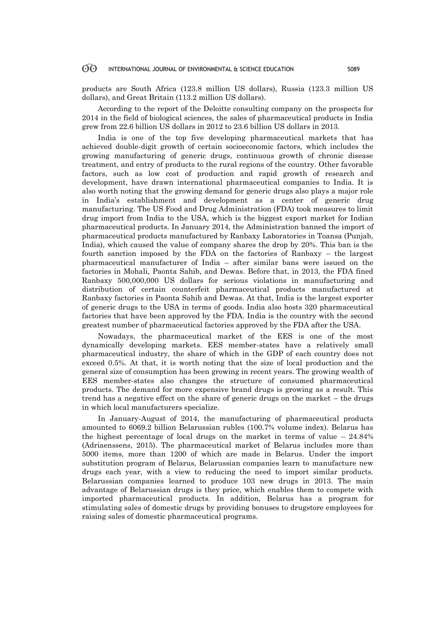#### 60 INTERNATIONAL JOURNAL OF ENVIRONMENTAL & SCIENCE EDUCATION 5089

products are South Africa (123.8 million US dollars), Russia (123.3 million US dollars), and Great Britain (113.2 million US dollars).

According to the report of the Deloitte consulting company on the prospects for 2014 in the field of biological sciences, the sales of pharmaceutical products in India grew from 22.6 billion US dollars in 2012 to 23.6 billion US dollars in 2013.

India is one of the top five developing pharmaceutical markets that has achieved double-digit growth of certain socioeconomic factors, which includes the growing manufacturing of generic drugs, continuous growth of chronic disease treatment, and entry of products to the rural regions of the country. Other favorable factors, such as low cost of production and rapid growth of research and development, have drawn international pharmaceutical companies to India. It is also worth noting that the growing demand for generic drugs also plays a major role in India's establishment and development as a center of generic drug manufacturing. The US Food and Drug Administration (FDA) took measures to limit drug import from India to the USA, which is the biggest export market for Indian pharmaceutical products. In January 2014, the Administration banned the import of pharmaceutical products manufactured by Ranbaxy Laboratories in Toansa (Punjab, India), which caused the value of company shares the drop by 20%. This ban is the fourth sanction imposed by the FDA on the factories of Ranbaxy – the largest pharmaceutical manufacturer of India – after similar bans were issued on the factories in Mohali, Paonta Sahib, and Dewas. Before that, in 2013, the FDA fined Ranbaxy 500,000,000 US dollars for serious violations in manufacturing and distribution of certain counterfeit pharmaceutical products manufactured at Ranbaxy factories in Paonta Sahib and Dewas. At that, India is the largest exporter of generic drugs to the USA in terms of goods. India also hosts 320 pharmaceutical factories that have been approved by the FDA. India is the country with the second greatest number of pharmaceutical factories approved by the FDA after the USA.

Nowadays, the pharmaceutical market of the EES is one of the most dynamically developing markets. EES member-states have a relatively small pharmaceutical industry, the share of which in the GDP of each country does not exceed 0.5%. At that, it is worth noting that the size of local production and the general size of consumption has been growing in recent years. The growing wealth of EES member-states also changes the structure of consumed pharmaceutical products. The demand for more expensive brand drugs is growing as a result. This trend has a negative effect on the share of generic drugs on the market – the drugs in which local manufacturers specialize.

In January-August of 2014, the manufacturing of pharmaceutical products amounted to 6069.2 billion Belarussian rubles (100.7% volume index). Belarus has the highest percentage of local drugs on the market in terms of value  $-24.84\%$ (Adriaenssens, 2015). The pharmaceutical market of Belarus includes more than 5000 items, more than 1200 of which are made in Belarus. Under the import substitution program of Belarus, Belarussian companies learn to manufacture new drugs each year, with a view to reducing the need to import similar products. Belarussian companies learned to produce 103 new drugs in 2013. The main advantage of Belarussian drugs is they price, which enables them to compete with imported pharmaceutical products. In addition, Belarus has a program for stimulating sales of domestic drugs by providing bonuses to drugstore employees for raising sales of domestic pharmaceutical programs.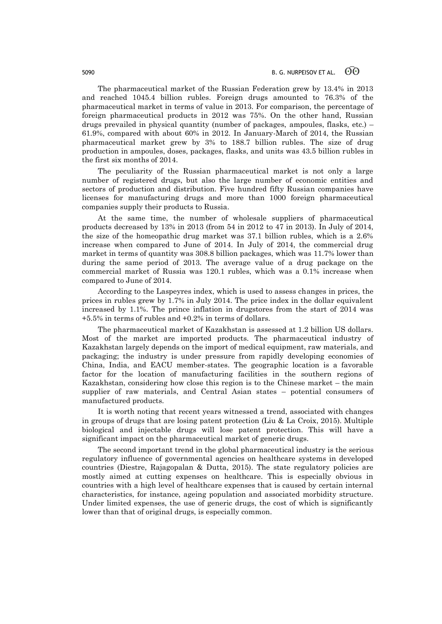The pharmaceutical market of the Russian Federation grew by 13.4% in 2013 and reached 1045.4 billion rubles. Foreign drugs amounted to 76.3% of the pharmaceutical market in terms of value in 2013. For comparison, the percentage of foreign pharmaceutical products in 2012 was 75%. On the other hand, Russian drugs prevailed in physical quantity (number of packages, ampoules, flasks, etc.) – 61.9%, compared with about 60% in 2012. In January-March of 2014, the Russian pharmaceutical market grew by 3% to 188.7 billion rubles. The size of drug production in ampoules, doses, packages, flasks, and units was 43.5 billion rubles in the first six months of 2014.

The peculiarity of the Russian pharmaceutical market is not only a large number of registered drugs, but also the large number of economic entities and sectors of production and distribution. Five hundred fifty Russian companies have licenses for manufacturing drugs and more than 1000 foreign pharmaceutical companies supply their products to Russia.

At the same time, the number of wholesale suppliers of pharmaceutical products decreased by 13% in 2013 (from 54 in 2012 to 47 in 2013). In July of 2014, the size of the homeopathic drug market was 37.1 billion rubles, which is a 2.6% increase when compared to June of 2014. In July of 2014, the commercial drug market in terms of quantity was 308.8 billion packages, which was 11.7% lower than during the same period of 2013. The average value of a drug package on the commercial market of Russia was 120.1 rubles, which was a 0.1% increase when compared to June of 2014.

According to the Laspeyres index, which is used to assess changes in prices, the prices in rubles grew by 1.7% in July 2014. The price index in the dollar equivalent increased by 1.1%. The prince inflation in drugstores from the start of 2014 was +5.5% in terms of rubles and +0.2% in terms of dollars.

The pharmaceutical market of Kazakhstan is assessed at 1.2 billion US dollars. Most of the market are imported products. The pharmaceutical industry of Kazakhstan largely depends on the import of medical equipment, raw materials, and packaging; the industry is under pressure from rapidly developing economies of China, India, and EACU member-states. The geographic location is a favorable factor for the location of manufacturing facilities in the southern regions of Kazakhstan, considering how close this region is to the Chinese market – the main supplier of raw materials, and Central Asian states – potential consumers of manufactured products.

It is worth noting that recent years witnessed a trend, associated with changes in groups of drugs that are losing patent protection (Liu & La Croix, 2015). Multiple biological and injectable drugs will lose patent protection. This will have a significant impact on the pharmaceutical market of generic drugs.

The second important trend in the global pharmaceutical industry is the serious regulatory influence of governmental agencies on healthcare systems in developed countries (Diestre, Rajagopalan & Dutta, 2015). The state regulatory policies are mostly aimed at cutting expenses on healthcare. This is especially obvious in countries with a high level of healthcare expenses that is caused by certain internal characteristics, for instance, ageing population and associated morbidity structure. Under limited expenses, the use of generic drugs, the cost of which is significantly lower than that of original drugs, is especially common.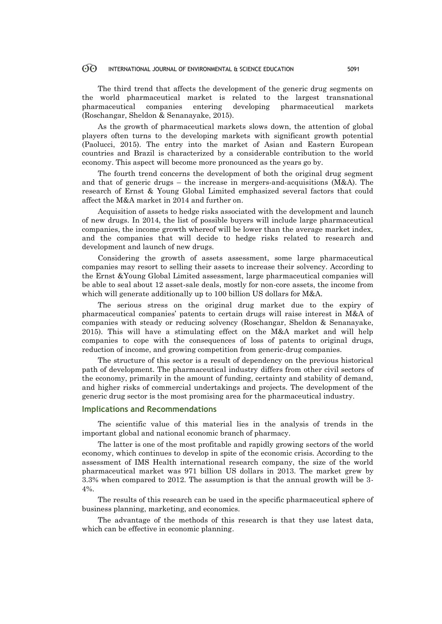#### 60 INTERNATIONAL JOURNAL OF ENVIRONMENTAL & SCIENCE EDUCATION 5091

The third trend that affects the development of the generic drug segments on the world pharmaceutical market is related to the largest transnational pharmaceutical companies entering developing pharmaceutical markets (Roschangar, Sheldon & Senanayake, 2015).

As the growth of pharmaceutical markets slows down, the attention of global players often turns to the developing markets with significant growth potential (Paolucci, 2015). The entry into the market of Asian and Eastern European countries and Brazil is characterized by a considerable contribution to the world economy. This aspect will become more pronounced as the years go by.

The fourth trend concerns the development of both the original drug segment and that of generic drugs – the increase in mergers-and-acquisitions  $(M&A)$ . The research of Ernst & Young Global Limited emphasized several factors that could affect the M&A market in 2014 and further on.

Acquisition of assets to hedge risks associated with the development and launch of new drugs. In 2014, the list of possible buyers will include large pharmaceutical companies, the income growth whereof will be lower than the average market index, and the companies that will decide to hedge risks related to research and development and launch of new drugs.

Considering the growth of assets assessment, some large pharmaceutical companies may resort to selling their assets to increase their solvency. According to the Ernst &Young Global Limited assessment, large pharmaceutical companies will be able to seal about 12 asset-sale deals, mostly for non-core assets, the income from which will generate additionally up to 100 billion US dollars for M&A.

The serious stress on the original drug market due to the expiry of pharmaceutical companies' patents to certain drugs will raise interest in M&A of companies with steady or reducing solvency (Roschangar, Sheldon & Senanayake, 2015). This will have a stimulating effect on the M&A market and will help companies to cope with the consequences of loss of patents to original drugs, reduction of income, and growing competition from generic-drug companies.

The structure of this sector is a result of dependency on the previous historical path of development. The pharmaceutical industry differs from other civil sectors of the economy, primarily in the amount of funding, certainty and stability of demand, and higher risks of commercial undertakings and projects. The development of the generic drug sector is the most promising area for the pharmaceutical industry.

# **Implications and Recommendations**

The scientific value of this material lies in the analysis of trends in the important global and national economic branch of pharmacy.

The latter is one of the most profitable and rapidly growing sectors of the world economy, which continues to develop in spite of the economic crisis. According to the assessment of IMS Health international research company, the size of the world pharmaceutical market was 971 billion US dollars in 2013. The market grew by 3.3% when compared to 2012. The assumption is that the annual growth will be 3- 4%.

The results of this research can be used in the specific pharmaceutical sphere of business planning, marketing, and economics.

The advantage of the methods of this research is that they use latest data, which can be effective in economic planning.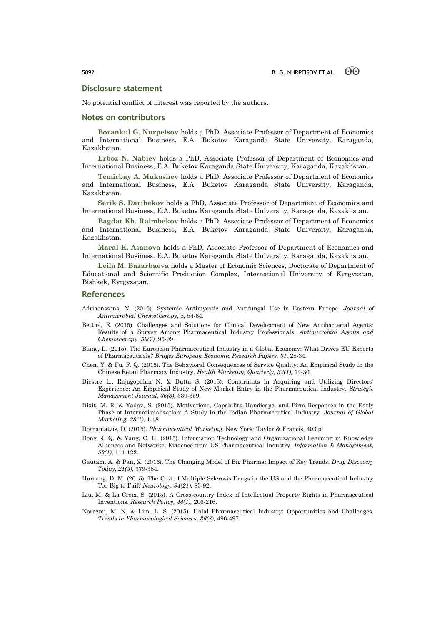# **Disclosure statement**

No potential conflict of interest was reported by the authors.

### **Notes on contributors**

**Borankul G. Nurpeisov** holds a PhD, Associate Professor of Department of Economics and International Business, E.A. Buketov Karaganda State University, Karaganda, Kazakhstan.

**Erboz N. Nabiev** holds a PhD, Associate Professor of Department of Economics and International Business, E.A. Buketov Karaganda State University, Karaganda, Kazakhstan.

**Temirbay A. Mukashev** holds a PhD, Associate Professor of Department of Economics and International Business, E.A. Buketov Karaganda State University, Karaganda, Kazakhstan.

**Serik S. Daribekov** holds a PhD, Associate Professor of Department of Economics and International Business, E.A. Buketov Karaganda State University, Karaganda, Kazakhstan.

**Bagdat Kh. Raimbekov** holds a PhD, Associate Professor of Department of Economics and International Business, E.A. Buketov Karaganda State University, Karaganda, Kazakhstan.

**Maral K. Asanova** holds a PhD, Associate Professor of Department of Economics and International Business, E.A. Buketov Karaganda State University, Karaganda, Kazakhstan.

**Leila M. Bazarbaeva** holds a Master of Economic Sciences, Doctorate of Department of Educational and Scientific Production Complex, International University of Kyrgyzstan, Bishkek, Kyrgyzstan.

#### **References**

- Adriaenssens, N. (2015). Systemic Antimycotic and Antifungal Use in Eastern Europe. *Journal of Antimicrobial Chemotherapy, 5,* 54-64.
- Bettiol, E. (2015). Challenges and Solutions for Clinical Development of New Antibacterial Agents: Results of a Survey Among Pharmaceutical Industry Professionals. *Antimicrobial Agents and Chemotherapy, 59(7),* 95-99.
- Blanc, L. (2015). The European Pharmaceutical Industry in a Global Economy: What Drives EU Exports of Pharmaceuticals? *Bruges European Economic Research Papers, 31*, 28-34.
- Chen, Y. & Fu, F. Q. (2015). The Behavioral Consequences of Service Quality: An Empirical Study in the Chinese Retail Pharmacy Industry. *Health Marketing Quarterly, 32(1),* 14-30.
- Diestre L., Rajagopalan N. & Dutta S. (2015). Constraints in Acquiring and Utilizing Directors' Experience: An Empirical Study of New‐Market Entry in the Pharmaceutical Industry. *Strategic Management Journal, 36(3),* 339-359.
- Dixit, M. R, & Yadav, S. (2015). Motivations, Capability Handicaps, and Firm Responses in the Early Phase of Internationalization: A Study in the Indian Pharmaceutical Industry*. Journal of Global Marketing, 28(1),* 1-18.
- Dogramatzis, D. (2015). *Pharmaceutical Marketing.* New York: Taylor & Francis, 403 p.
- Dong, J. Q. & Yang, C. H. (2015). Information Technology and Organizational Learning in Knowledge Alliances and Networks: Evidence from US Pharmaceutical Industry. *Information & Management, 52(1),* 111-122.
- Gautam, A. & Pan, X. (2016). The Changing Model of Big Pharma: Impact of Key Trends. *Drug Discovery Today, 21(3),* 379-384.
- Hartung, D. M. (2015). The Cost of Multiple Sclerosis Drugs in the US and the Pharmaceutical Industry Too Big to Fail? *Neurology, 84(21),* 85-92.
- Liu, M. & La Croix, S. (2015). A Cross-country Index of Intellectual Property Rights in Pharmaceutical Inventions. *Research Policy, 44(1),* 206-216.
- Norazmi, M. N. & Lim, L. S. (2015). Halal Pharmaceutical Industry: Opportunities and Challenges. *Trends in Pharmacological Sciences, 36(8),* 496-497.